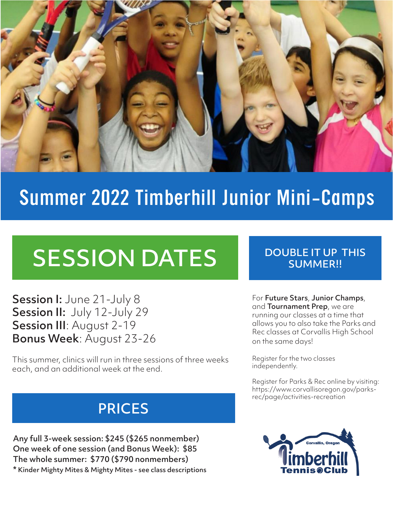

## Summer 2022 Timberhill Junior Mini-Camps

# SESSION DATES

Session I: June 21-July 8 Session II: July 12-July 29 Session III: August 2-19 Bonus Week: August 23-26

This summer, clinics will run in three sessions of three weeks each, and an additional week at the end.

## PRICES

Any full 3-week session: \$245 (\$265 nonmember) One week of one session (and Bonus Week): \$85 The whole summer: \$770 (\$790 nonmembers) \* Kinder Mighty Mites & Mighty Mites - see class descriptions

#### DOUBLE IT UP THIS SUMMER!!

For Future Stars, Junior Champs, and **Tournament Prep**, we are running our classes at a time that allows you to also take the Parks and Rec classes at Corvallis High School on the same days!

Register for the two classes independently.

Register for Parks & Rec online by visiting: https://www.corvallisoregon.gov/parksrec/page/activities-recreation

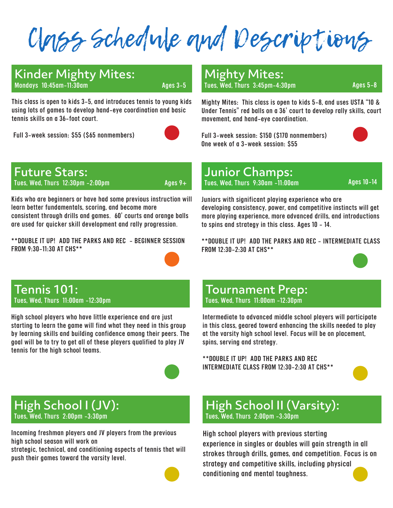Class Schedule and Descriptions

#### Kinder Mighty Mites: Mondays 10:45am-11:30am Ages 3-5

This class is open to kids 3-5, and introduces tennis to young kids using lots of games to develop hand-eye coordination and basic tennis skills on a 36-foot court.

Full 3-week session: \$55 (\$65 nonmembers)



#### Mighty Mites: Tues, Wed, Thurs  $3:45$ pm-4 $:30$ pm  $\overline{\phantom{0}}$  Ages 5-8

Mighty Mites: This class is open to kids 5-8, and uses USTA "10 & Under Tennis" red balls on a 36' court to develop rally skills, court movement, and hand-eye coordination.

Full 3-week session: \$150 (\$170 nonmembers) One week of a 3-week session: \$55



Future Stars:

Tues, Wed, Thurs  $12:30 \text{pm} - 2:00 \text{pm}$  Ages  $9+$ 

Kids who are beginners or have had some previous instruction will learn better fundamentals, scoring, and become more consistent through drills and games. 60' courts and orange balls are used for quicker skill development and rally progression.

\*\*DOUBLE IT UP! ADD THE PARKS AND REC - BEGINNER SESSION FROM 9:30-11:30 AT CHS\*\*



### Junior Champs:

Tues, Wed, Thurs 9:30am -11:00am Ages 10-14

Juniors with significant playing experience who are developing consistency, power, and competitive instincts will get more playing experience, more advanced drills, and introductions to spins and strategy in this class. Ages 10 - 14.

\*\*DOUBLE IT UP! ADD THE PARKS AND REC - INTERMEDIATE CLASS FROM 12:30-2:30 AT CHS\*\*



#### Tennis 101: Tues, Wed, Thurs 11:00am -12:30pm

High school players who have little experience and are just starting to learn the game will find what they need in this group by learning skills and building confidence among their peers. The goal will be to try to get all of these players qualified to play JV tennis for the high school teams.



#### High School I (JV): Tues, Wed, Thurs 2:00pm -3:30pm

Incoming freshman players and JV players from the previous high school season will work on

strategic, technical, and conditioning aspects of tennis that will push their games toward the varsity level.



#### Tournament Prep: Tues, Wed, Thurs 11:00am -12:30pm

Intermediate to advanced middle school players will participate in this class, geared toward enhancing the skills needed to play at the varsity high school level. Focus will be on placement, spins, serving and strategy.

\*\*DOUBLE IT UP! ADD THE PARKS AND REC INTERMEDIATE CLASS FROM 12:30-2:30 AT CHS\*\*



#### High School II (Varsity): Tues, Wed, Thurs 2:00pm -3:30pm

High school players with previous starting experience in singles or doubles will gain strength in all strokes through drills, games, and competition. Focus is on strategy and competitive skills, including physical conditioning and mental toughness.